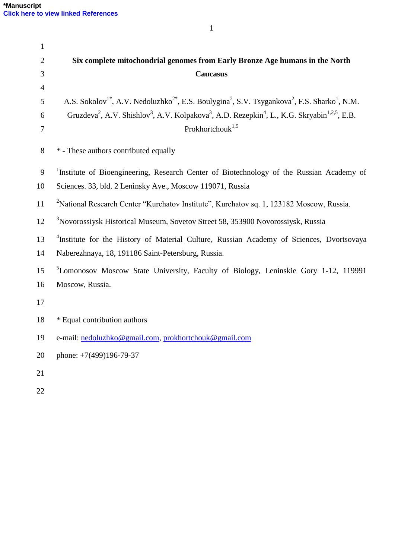| $\mathbf{1}$   |                                                                                                                                                                       |
|----------------|-----------------------------------------------------------------------------------------------------------------------------------------------------------------------|
| $\overline{2}$ | Six complete mitochondrial genomes from Early Bronze Age humans in the North                                                                                          |
| 3              | <b>Caucasus</b>                                                                                                                                                       |
| 4              |                                                                                                                                                                       |
| 5              | A.S. Sokolov <sup>1</sup> <sup>*</sup> , A.V. Nedoluzhko <sup>2*</sup> , E.S. Boulygina <sup>2</sup> , S.V. Tsygankova <sup>2</sup> , F.S. Sharko <sup>1</sup> , N.M. |
| 6              | Gruzdeva <sup>2</sup> , A.V. Shishlov <sup>3</sup> , A.V. Kolpakova <sup>3</sup> , A.D. Rezepkin <sup>4</sup> , L., K.G. Skryabin <sup>1,2,5</sup> , E.B.             |
| 7              | Prokhortchouk <sup>1,5</sup>                                                                                                                                          |
| $8\phantom{.}$ | * - These authors contributed equally                                                                                                                                 |
| 9              | <sup>1</sup> Institute of Bioengineering, Research Center of Biotechnology of the Russian Academy of                                                                  |
| 10             | Sciences. 33, bld. 2 Leninsky Ave., Moscow 119071, Russia                                                                                                             |
| 11             | <sup>2</sup> National Research Center "Kurchatov Institute", Kurchatov sq. 1, 123182 Moscow, Russia.                                                                  |
| 12             | <sup>3</sup> Novorossiysk Historical Museum, Sovetov Street 58, 353900 Novorossiysk, Russia                                                                           |
| 13             | <sup>4</sup> Institute for the History of Material Culture, Russian Academy of Sciences, Dvortsovaya                                                                  |
| 14             | Naberezhnaya, 18, 191186 Saint-Petersburg, Russia.                                                                                                                    |
| 15             | <sup>5</sup> Lomonosov Moscow State University, Faculty of Biology, Leninskie Gory 1-12, 119991                                                                       |
| 16             | Moscow, Russia.                                                                                                                                                       |
| 17             |                                                                                                                                                                       |
| 18             | * Equal contribution authors                                                                                                                                          |
| 19             | e-mail: nedoluzhko@gmail.com, prokhortchouk@gmail.com                                                                                                                 |
| 20             | phone: $+7(499)196-79-37$                                                                                                                                             |
| 21             |                                                                                                                                                                       |
| 22             |                                                                                                                                                                       |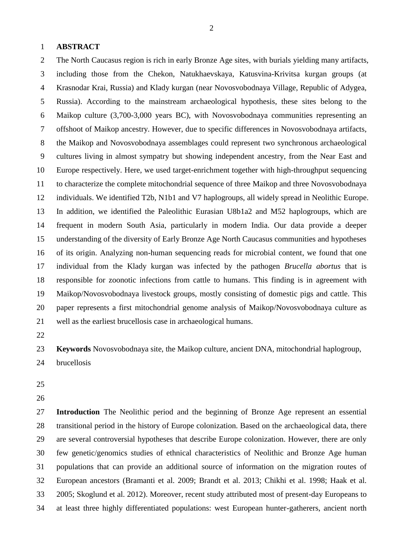#### **ABSTRACT**

 The North Caucasus region is rich in early Bronze Age sites, with burials yielding many artifacts, including those from the Chekon, Natukhaevskaya, Katusvina-Krivitsa kurgan groups (at Krasnodar Krai, Russia) and Klady kurgan (near Novosvobodnaya Village, Republic of Adygea, Russia). According to the mainstream archaeological hypothesis, these sites belong to the Maikop culture (3,700-3,000 years BC), with Novosvobodnaya communities representing an offshoot of Maikop ancestry. However, due to specific differences in Novosvobodnaya artifacts, the Maikop and Novosvobodnaya assemblages could represent two synchronous archaeological cultures living in almost sympatry but showing independent ancestry, from the Near East and Europe respectively. Here, we used target-enrichment together with high-throughput sequencing to characterize the complete mitochondrial sequence of three Maikop and three Novosvobodnaya individuals. We identified T2b, N1b1 and V7 haplogroups, all widely spread in Neolithic Europe. In addition, we identified the Paleolithic Eurasian U8b1a2 and M52 haplogroups, which are frequent in modern South Asia, particularly in modern India. Our data provide a deeper understanding of the diversity of Early Bronze Age North Caucasus communities and hypotheses of its origin. Analyzing non-human sequencing reads for microbial content, we found that one individual from the Klady kurgan was infected by the pathogen *Brucella abortus* that is responsible for zoonotic infections from cattle to humans. This finding is in agreement with Maikop/Novosvobodnaya livestock groups, mostly consisting of domestic pigs and cattle. This paper represents a first mitochondrial genome analysis of Maikop/Novosvobodnaya culture as well as the earliest brucellosis case in archaeological humans.

 **Keywords** Novosvobodnaya site, the Maikop culture, ancient DNA, mitochondrial haplogroup, brucellosis

- 
- 

 **Introduction** The Neolithic period and the beginning of Bronze Age represent an essential transitional period in the history of Europe colonization. Based on the archaeological data, there are several controversial hypotheses that describe Europe colonization. However, there are only few genetic/genomics studies of ethnical characteristics of Neolithic and Bronze Age human populations that can provide an additional source of information on the migration routes of European ancestors (Bramanti [et al. 2009;](#page-14-0) [Brandt et al. 2013;](#page-14-1) [Chikhi et al. 1998;](#page-14-2) [Haak et al.](#page-15-0)  [2005;](#page-15-0) [Skoglund et al. 2012\)](#page-20-0). Moreover, recent study attributed most of present-day Europeans to at least three highly differentiated populations: west European hunter-gatherers, ancient north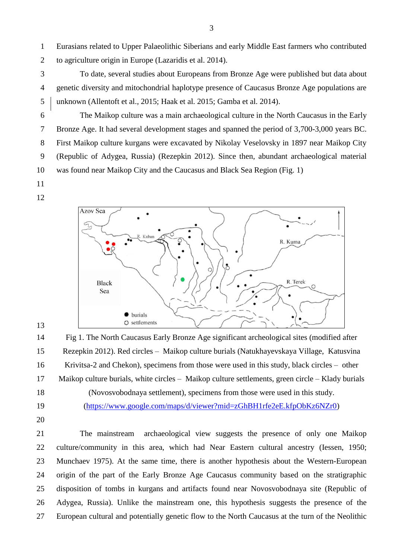Eurasians related to Upper Palaeolithic Siberians and early Middle East farmers who contributed to agriculture origin in Europe [\(Lazaridis et al. 2014\)](#page-17-0).

- To date, several studies about Europeans from Bronze Age were published but data about genetic diversity and mitochondrial haplotype presence of Caucasus Bronze Age populations are unknown (Allentoft et al., 2015; Haak et al. 2015; Gamba et al. 2014).
- The Maikop culture was a main archaeological culture in the North Caucasus in the Early Bronze Age. It had several development stages and spanned the period of 3,700-3,000 years BC. First Maikop culture kurgans were excavated by Nikolay Veselovsky in 1897 near Maikop City (Republic of Adygea, Russia) [\(Rezepkin 2012\)](#page-19-0). Since then, abundant archaeological material was found near Maikop City and the Caucasus and Black Sea Region (Fig. 1)
- 
- 



 Fig 1. The North Caucasus Early Bronze Age significant archeological sites (modified after Rezepkin 2012). Red circles – Maikop culture burials (Natukhayevskaya Village, Katusvina Krivitsa-2 and Chekon), specimens from those were used in this study, black circles – other Maikop culture burials, white circles – Maikop culture settlements, green circle – Klady burials (Novosvobodnaya settlement), specimens from those were used in this study.

- [\(https://www.google.com/maps/d/viewer?mid=zGhBH1rfe2eE.kfpObKz6NZr0\)](https://www.google.com/maps/d/viewer?mid=zGhBH1rfe2eE.kfpObKz6NZr0)
- 

 The mainstream archaeological view suggests the presence of only one Maikop culture/community in this area, which had Near Eastern cultural ancestry [\(Iessen, 1950;](#page-16-0) [Munchaev 1975\)](#page-18-0). At the same time, there is another hypothesis about the Western-European origin of the part of the Early Bronze Age Caucasus community based on the stratigraphic disposition of tombs in kurgans and artifacts found near Novosvobodnaya site (Republic of Adygea, Russia). Unlike the mainstream one, this hypothesis suggests the presence of the European cultural and potentially genetic flow to the North Caucasus at the turn of the Neolithic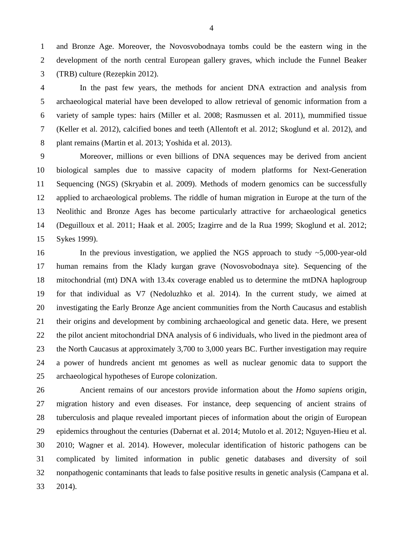and Bronze Age. Moreover, the Novosvobodnaya tombs could be the eastern wing in the development of the north central European gallery graves, which include the Funnel Beaker (TRB) culture [\(Rezepkin](#page-19-0) 2012).

 In the past few years, the methods for ancient DNA extraction and analysis from archaeological material have been developed to allow retrieval of genomic information from a variety of sample types: hairs [\(Miller et al. 2008;](#page-18-1) [Rasmussen et al.](#page-19-1) 2011), mummified tissue [\(Keller et al. 2012\)](#page-16-1), calcified bones and teeth [\(Allentoft et al. 2012;](#page-13-0) [Skoglund et al.](#page-20-0) 2012), and plant remains [\(Martin et al.](#page-17-1) 2013; [Yoshida et al. 2013\)](#page-20-1).

 Moreover, millions or even billions of DNA sequences may be derived from ancient biological samples due to massive capacity of modern platforms for Next-Generation Sequencing (NGS) (Skryabin et al. 2009). Methods of modern genomics can be successfully applied to archaeological problems. The riddle of human migration in Europe at the turn of the Neolithic and Bronze Ages has become particularly attractive for archaeological genetics [\(Deguilloux et al.](#page-15-1) 2011; [Haak et al.](#page-15-0) 2005; [Izagirre and de la Rua](#page-16-2) 1999; [Skoglund et al. 2012;](#page-20-0) [Sykes 1999\)](#page-20-2).

16 In the previous investigation, we applied the NGS approach to study  $\sim 5,000$ -year-old human remains from the Klady kurgan grave (Novosvobodnaya site). Sequencing of the mitochondrial (mt) DNA with 13.4x coverage enabled us to determine the mtDNA haplogroup for that individual as V7 [\(Nedoluzhko et al. 2014\)](#page-18-2). In the current study, we aimed at investigating the Early Bronze Age ancient communities from the North Caucasus and establish their origins and development by combining archaeological and genetic data. Here, we present the pilot ancient mitochondrial DNA analysis of 6 individuals, who lived in the piedmont area of the North Caucasus at approximately 3,700 to 3,000 years BC. Further investigation may require a power of hundreds ancient mt genomes as well as nuclear genomic data to support the archaeological hypotheses of Europe colonization.

 Ancient remains of our ancestors provide information about the *Homo sapiens* origin, migration history and even diseases. For instance, deep sequencing of ancient strains of tuberculosis and plaque revealed important pieces of information about the origin of European epidemics throughout the centuries [\(Dabernat et al. 2014;](#page-14-3) [Mutolo et al. 2012;](#page-18-3) [Nguyen-Hieu et al.](#page-18-4) [2010;](#page-18-4) [Wagner et al. 2014\)](#page-20-3). However, molecular identification of historic pathogens can be complicated by limited information in public genetic databases and diversity of soil nonpathogenic contaminants that leads to false positive results in genetic analysis [\(Campana et al.](#page-14-4)  [2014\)](#page-14-4).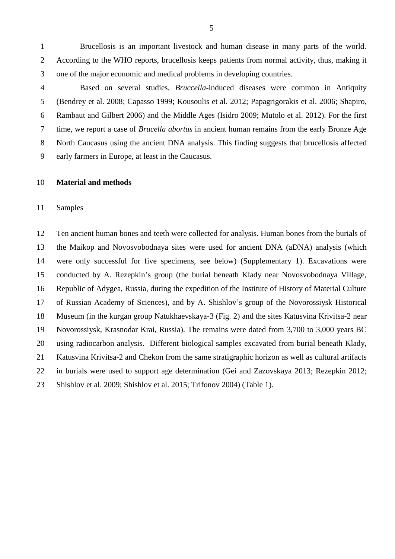Brucellosis is an important livestock and human disease in many parts of the world. According to the WHO reports, brucellosis keeps patients from normal activity, thus, making it one of the major economic and medical problems in developing countries.

 Based on several studies, *Bruccella*-induced diseases were common in Antiquity [\(Bendrey et al. 2008;](#page-14-5) [Capasso 1999;](#page-14-6) [Kousoulis et al. 2012;](#page-17-2) [Papagrigorakis et al.](#page-18-5) 2006; [Shapiro,](#page-19-2)  [Rambaut and Gilbert 2006\)](#page-19-2) and the Middle Ages [\(Isidro](#page-16-3) 2009; [Mutolo et al.](#page-18-3) 2012). For the first time, we report a case of *Brucella abortus* in ancient human remains from the early Bronze Age North Caucasus using the ancient DNA analysis. This finding suggests that brucellosis affected early farmers in Europe, at least in the Caucasus.

#### **Material and methods**

Samples

 Ten ancient human bones and teeth were collected for analysis. Human bones from the burials of the Maikop and Novosvobodnaya sites were used for ancient DNA (aDNA) analysis (which were only successful for five specimens, see below) (Supplementary 1). Excavations were conducted by A. Rezepkin's group (the burial beneath Klady near Novosvobodnaya Village, Republic of Adygea, Russia, during the expedition of the Institute of History of Material Culture of Russian Academy of Sciences), and by A. Shishlov's group of the Novorossiysk Historical Museum (in the kurgan group Natukhaevskaya-3 (Fig. 2) and the sites Katusvina Krivitsa-2 near Novorossiysk, Krasnodar Krai, Russia). The remains were dated from 3,700 to 3,000 years BC using radiocarbon analysis. Different biological samples excavated from burial beneath Klady, Katusvina Krivitsa-2 and Chekon from the same stratigraphic horizon as well as cultural artifacts in burials were used to support age determination (Gei [and Zazovskaya](#page-15-2) 2013; [Rezepkin 2012;](#page-19-0) [Shishlov](#page-19-3) et al. 2009; [Shishlov](#page-19-4) et al. 2015; [Trifonov 2004\)](#page-20-4) (Table 1).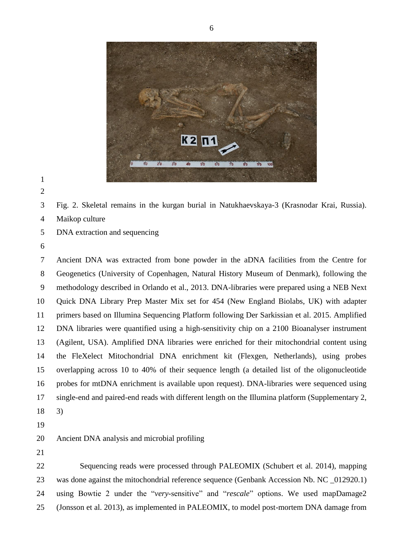

 Fig. 2. Skeletal remains in the kurgan burial in Natukhaevskaya-3 (Krasnodar Krai, Russia). Maikop culture

- DNA extraction and sequencing
- 

 Ancient DNA was extracted from bone powder in the aDNA facilities from the Centre for Geogenetics (University of Copenhagen, Natural History Museum of Denmark), following the methodology described in [Orlando et al., 2013.](#page-18-6) DNA-libraries were prepared using a NEB Next Quick DNA Library Prep Master Mix set for 454 (New England Biolabs, UK) with adapter primers based on Illumina Sequencing Platform following Der Sarkissian et al. 2015. Amplified DNA libraries were quantified using a high-sensitivity chip on a 2100 Bioanalyser instrument (Agilent, USA). Amplified DNA libraries were enriched for their mitochondrial content using the FleXelect Mitochondrial DNA enrichment kit (Flexgen, Netherlands), using probes overlapping across 10 to 40% of their sequence length (a detailed list of the oligonucleotide probes for mtDNA enrichment is available upon request). DNA-libraries were sequenced using single-end and paired-end reads with different length on the Illumina platform (Supplementary 2, 3)

# Ancient DNA analysis and microbial profiling

 Sequencing reads were processed through PALEOMIX [\(Schubert et al. 2014\)](#page-19-5), mapping was done against the mitochondrial reference sequence (Genbank Accession Nb. NC \_012920.1) using Bowtie 2 under the "*very*-sensitive" and "*rescale*" options. We used mapDamage2 (Jonsson et al. 2013), as implemented in PALEOMIX, to model post-mortem DNA damage from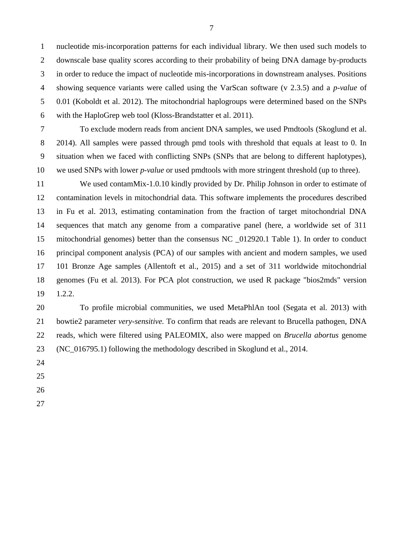nucleotide mis-incorporation patterns for each individual library. We then used such models to downscale base quality scores according to their probability of being DNA damage by-products in order to reduce the impact of nucleotide mis-incorporations in downstream analyses. Positions showing sequence variants were called using the VarScan software (v 2.3.5) and a *p-value* of 0.01 [\(Koboldt et al. 2012\)](#page-16-4). The mitochondrial haplogroups were determined based on the SNPs with the HaploGrep web tool [\(Kloss-Brandstatter et al. 2011\)](#page-16-5).

 To exclude modern reads from ancient DNA samples, we used Pmdtools [\(Skoglund et al.](#page-20-5) [2014\)](#page-20-5). All samples were passed through pmd tools with threshold that equals at least to 0. In situation when we faced with conflicting SNPs (SNPs that are belong to different haplotypes), we used SNPs with lower *p-value* or used pmdtools with more stringent threshold (up to three).

 We used contamMix-1.0.10 kindly provided by Dr. Philip Johnson in order to estimate of contamination levels in mitochondrial data. This software implements the procedures described in [Fu et al. 2013,](#page-15-3) estimating contamination from the fraction of target mitochondrial DNA sequences that match any genome from a comparative panel (here, a worldwide set of 311 mitochondrial genomes) better than the consensus NC \_012920.1 Table 1). In order to conduct principal component analysis (PCA) of our samples with ancient and modern samples, we used 101 Bronze Age samples (Allentoft et al., 2015) and a set of 311 worldwide mitochondrial genomes [\(Fu et al. 2013\)](#page-15-3). For PCA plot construction, we used R package "bios2mds" version 1.2.2.

 To profile microbial communities, we used MetaPhlAn tool [\(Segata et al. 2013\)](#page-19-6) with bowtie2 parameter *very-sensitive.* To confirm that reads are relevant to Brucella pathogen, DNA reads, which were filtered using PALEOMIX, also were mapped on *Brucella abortus* genome (NC\_016795.1) following the methodology described in Skoglund et al., 2014.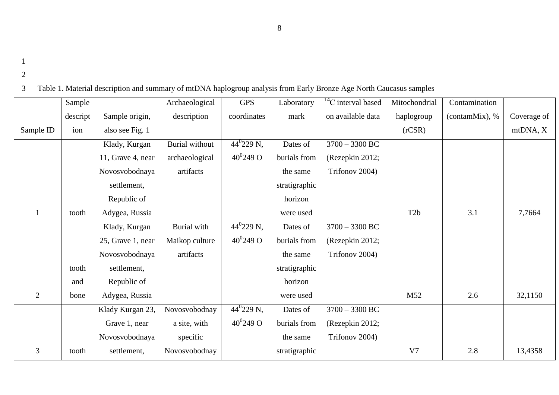3 Table 1. Material description and summary of mtDNA haplogroup analysis from Early Bronze Age North Caucasus samples

|           | Sample   |                   | Archaeological        | <b>GPS</b>         | Laboratory    | $^{14}$ C interval based | Mitochondrial    | Contamination      |             |
|-----------|----------|-------------------|-----------------------|--------------------|---------------|--------------------------|------------------|--------------------|-------------|
|           | descript | Sample origin,    | description           | coordinates        | mark          | on available data        | haplogroup       | (contam $Mix)$ , % | Coverage of |
| Sample ID | ion      | also see Fig. 1   |                       |                    |               |                          | (rCSR)           |                    | mtDNA, X    |
|           |          | Klady, Kurgan     | <b>Burial</b> without | $44^{\circ}229$ N, | Dates of      | $3700 - 3300$ BC         |                  |                    |             |
|           |          | 11, Grave 4, near | archaeological        | $40^0$ 249 O       | burials from  | (Rezepkin 2012;          |                  |                    |             |
|           |          | Novosvobodnaya    | artifacts             |                    | the same      | Trifonov 2004)           |                  |                    |             |
|           |          | settlement,       |                       |                    | stratigraphic |                          |                  |                    |             |
|           |          | Republic of       |                       |                    | horizon       |                          |                  |                    |             |
|           | tooth    | Adygea, Russia    |                       |                    | were used     |                          | T <sub>2</sub> b | 3.1                | 7,7664      |
|           |          | Klady, Kurgan     | Burial with           | $44^{\circ}229$ N, | Dates of      | $3700 - 3300$ BC         |                  |                    |             |
|           |          | 25, Grave 1, near | Maikop culture        | $40^0$ 249 O       | burials from  | (Rezepkin 2012;          |                  |                    |             |
|           |          | Novosvobodnaya    | artifacts             |                    | the same      | Trifonov 2004)           |                  |                    |             |
|           | tooth    | settlement,       |                       |                    | stratigraphic |                          |                  |                    |             |
|           | and      | Republic of       |                       |                    | horizon       |                          |                  |                    |             |
| 2         | bone     | Adygea, Russia    |                       |                    | were used     |                          | M52              | 2.6                | 32,1150     |
|           |          | Klady Kurgan 23,  | Novosvobodnay         | $44^{\circ}229$ N, | Dates of      | $3700 - 3300$ BC         |                  |                    |             |
|           |          | Grave 1, near     | a site, with          | $40^0$ 249 O       | burials from  | (Rezepkin 2012;          |                  |                    |             |
|           |          | Novosvobodnaya    | specific              |                    | the same      | Trifonov 2004)           |                  |                    |             |
| 3         | tooth    | settlement,       | Novosvobodnay         |                    | stratigraphic |                          | V <sub>7</sub>   | 2.8                | 13,4358     |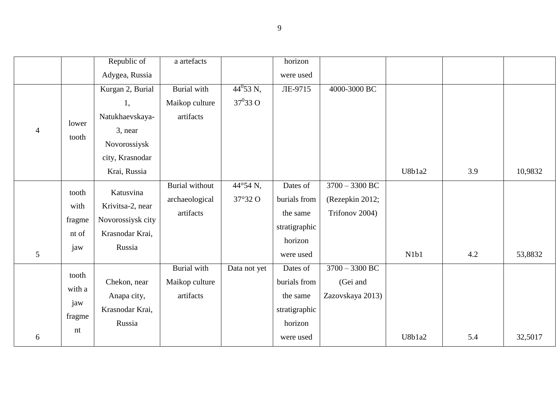|                |        | Republic of       | a artefacts           |                   | horizon       |                  |                               |     |         |
|----------------|--------|-------------------|-----------------------|-------------------|---------------|------------------|-------------------------------|-----|---------|
|                |        | Adygea, Russia    |                       |                   | were used     |                  |                               |     |         |
|                |        | Kurgan 2, Burial  | Burial with           | $44^{\circ}53$ N, | ЛЕ-9715       | 4000-3000 BC     |                               |     |         |
|                |        | 1,                | Maikop culture        | $37^0 33$ O       |               |                  |                               |     |         |
|                | lower  | Natukhaevskaya-   | artifacts             |                   |               |                  |                               |     |         |
| $\overline{4}$ |        | 3, near           |                       |                   |               |                  |                               |     |         |
|                | tooth  | Novorossiysk      |                       |                   |               |                  |                               |     |         |
|                |        | city, Krasnodar   |                       |                   |               |                  |                               |     |         |
|                |        | Krai, Russia      |                       |                   |               |                  | U8b1a2                        | 3.9 | 10,9832 |
|                | tooth  | Katusvina         | <b>Burial</b> without | 44°54 N,          | Dates of      | $3700 - 3300$ BC |                               |     |         |
|                |        |                   | archaeological        | 37°32 O           | burials from  | (Rezepkin 2012;  |                               |     |         |
|                | with   | Krivitsa-2, near  | artifacts             |                   | the same      | Trifonov 2004)   |                               |     |         |
|                | fragme | Novorossiysk city |                       |                   | stratigraphic |                  |                               |     |         |
|                | nt of  | Krasnodar Krai,   |                       |                   | horizon       |                  |                               |     |         |
| 5              | jaw    | Russia            |                       |                   | were used     |                  | N <sub>1</sub> b <sub>1</sub> | 4.2 | 53,8832 |
|                |        |                   | Burial with           | Data not yet      | Dates of      | $3700 - 3300$ BC |                               |     |         |
|                | tooth  | Chekon, near      | Maikop culture        |                   | burials from  | (Gei and         |                               |     |         |
|                | with a | Anapa city,       | artifacts             |                   | the same      | Zazovskaya 2013) |                               |     |         |
|                | jaw    | Krasnodar Krai,   |                       |                   | stratigraphic |                  |                               |     |         |
|                | fragme | Russia            |                       |                   | horizon       |                  |                               |     |         |
| 6              | nt     |                   |                       |                   | were used     |                  | U8b1a2                        | 5.4 | 32,5017 |
|                |        |                   |                       |                   |               |                  |                               |     |         |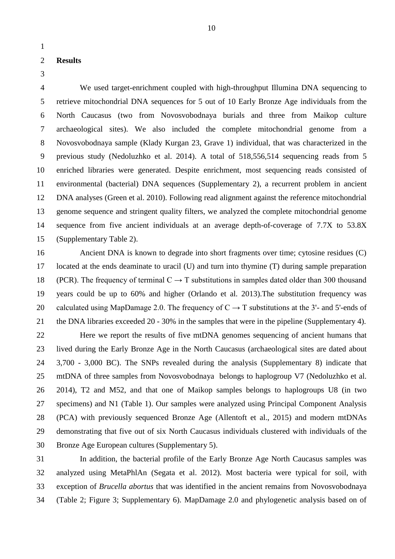### **Results**

 We used target-enrichment coupled with high-throughput Illumina DNA sequencing to retrieve mitochondrial DNA sequences for 5 out of 10 Early Bronze Age individuals from the North Caucasus (two from Novosvobodnaya burials and three from Maikop culture archaeological sites). We also included the complete mitochondrial genome from a Novosvobodnaya sample (Klady Kurgan 23, Grave 1) individual, that was characterized in the previous study [\(Nedoluzhko et al. 2014\)](#page-18-2). A total of 518,556,514 sequencing reads from 5 enriched libraries were generated. Despite enrichment, most sequencing reads consisted of environmental (bacterial) DNA sequences (Supplementary 2), a recurrent problem in ancient DNA analyses (Green et al. 2010). Following read alignment against the reference mitochondrial genome sequence and stringent quality filters, we analyzed the complete mitochondrial genome sequence from five ancient individuals at an average depth-of-coverage of 7.7X to 53.8X (Supplementary Table 2).

 Ancient DNA is known to degrade into short fragments over time; cytosine residues (C) located at the ends deaminate to uracil (U) and turn into thymine (T) during sample preparation 18 (PCR). The frequency of terminal  $C \rightarrow T$  substitutions in samples dated older than 300 thousand years could be up to 60% and higher [\(Orlando et al. 2013\)](#page-18-7).The substitution frequency was 20 calculated using MapDamage 2.0. The frequency of  $C \rightarrow T$  substitutions at the 3'- and 5'-ends of the DNA libraries exceeded 20 - 30% in the samples that were in the pipeline (Supplementary 4).

 Here we report the results of five mtDNA genomes sequencing of ancient humans that lived during the Early Bronze Age in the North Caucasus (archaeological sites are dated about 3,700 - 3,000 BC). The SNPs revealed during the analysis (Supplementary 8) indicate that mtDNA of three samples from Novosvobodnaya belongs to haplogroup V7 [\(Nedoluzhko et al.](#page-18-2) [2014\)](#page-18-2), T2 and M52, and that one of Maikop samples belongs to haplogroups U8 (in two specimens) and N1 (Table 1). Our samples were analyzed using Principal Component Analysis (PCA) with previously sequenced Bronze Age (Allentoft et al., 2015) and modern mtDNAs demonstrating that five out of six North Caucasus individuals clustered with individuals of the Bronze Age European cultures (Supplementary 5).

 In addition, the bacterial profile of the Early Bronze Age North Caucasus samples was analyzed using MetaPhlAn (Segata et al. 2012). Most bacteria were typical for soil, with exception of *Brucella abortus* that was identified in the ancient remains from Novosvobodnaya (Table 2; Figure 3; Supplementary 6). MapDamage 2.0 and phylogenetic analysis based on of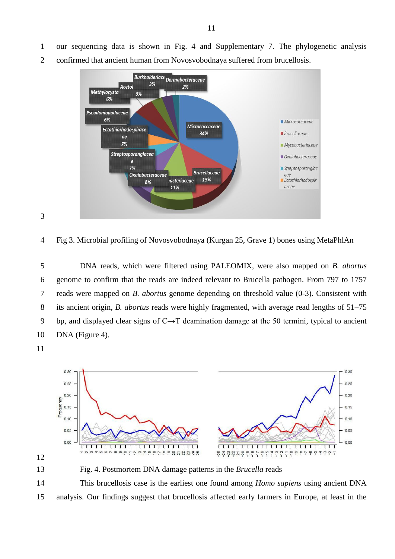our sequencing data is shown in Fig. 4 and Supplementary 7. The phylogenetic analysis



confirmed that ancient human from Novosvobodnaya suffered from brucellosis.

Fig 3. Microbial profiling of Novosvobodnaya (Kurgan 25, Grave 1) bones using MetaPhlAn

 DNA reads, which were filtered using PALEOMIX, were also mapped on *B. abortus* genome to confirm that the reads are indeed relevant to Brucella pathogen. From 797 to 1757 reads were mapped on *B. abortus* genome depending on threshold value (0-3). Consistent with its ancient origin, *B. abortus* reads were highly fragmented, with average read lengths of 51–75 bp, and displayed clear signs of C→T deamination damage at the 50 termini, typical to ancient DNA (Figure 4). 



analysis. Our findings suggest that brucellosis affected early farmers in Europe, at least in the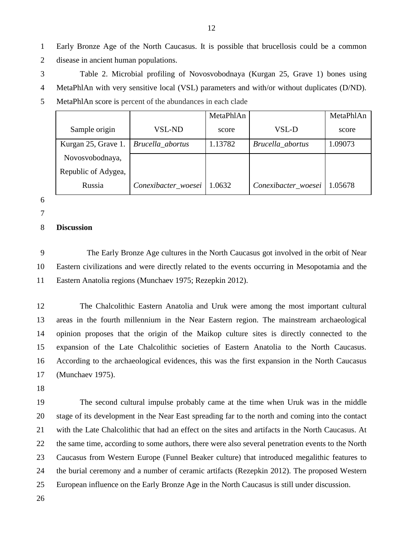- Early Bronze Age of the North Caucasus. It is possible that brucellosis could be a common
- disease in ancient human populations.
- Table 2. Microbial profiling of Novosvobodnaya (Kurgan 25, Grave 1) bones using
- MetaPhlAn with very sensitive local (VSL) parameters and with/or without duplicates (D/ND).
- MetaPhlAn score is percent of the abundances in each clade

|                     |                     | MetaPhlAn |                     | MetaPhlAn |
|---------------------|---------------------|-----------|---------------------|-----------|
| Sample origin       | VSL-ND              | score     | VSL-D               | score     |
| Kurgan 25, Grave 1. | Brucella abortus    | 1.13782   | Brucella abortus    | 1.09073   |
| Novosvobodnaya,     |                     |           |                     |           |
| Republic of Adygea, |                     |           |                     |           |
| Russia              | Conexibacter_woesei | 1.0632    | Conexibacter_woesei | 1.05678   |

## **Discussion**

 The Early Bronze Age cultures in the North Caucasus got involved in the orbit of Near Eastern civilizations and were directly related to the events occurring in Mesopotamia and the Eastern Anatolia regions [\(Munchaev 1975;](#page-18-0) [Rezepkin 2012\)](#page-19-0).

 The Chalcolithic Eastern Anatolia and Uruk were among the most important cultural areas in the fourth millennium in the Near Eastern region. The mainstream archaeological opinion proposes that the origin of the Maikop culture sites is directly connected to the expansion of the Late Chalcolithic societies of Eastern Anatolia to the North Caucasus. According to the archaeological evidences, this was the first expansion in the North Caucasus [\(Munchaev 1975\)](#page-18-0).

 The second cultural impulse probably came at the time when Uruk was in the middle stage of its development in the Near East spreading far to the north and coming into the contact with the Late Chalcolithic that had an effect on the sites and artifacts in the North Caucasus. At the same time, according to some authors, there were also several penetration events to the North Caucasus from Western Europe (Funnel Beaker culture) that introduced megalithic features to the burial ceremony and a number of ceramic artifacts [\(Rezepkin 2012\)](#page-19-0). The proposed Western European influence on the Early Bronze Age in the North Caucasus is still under discussion.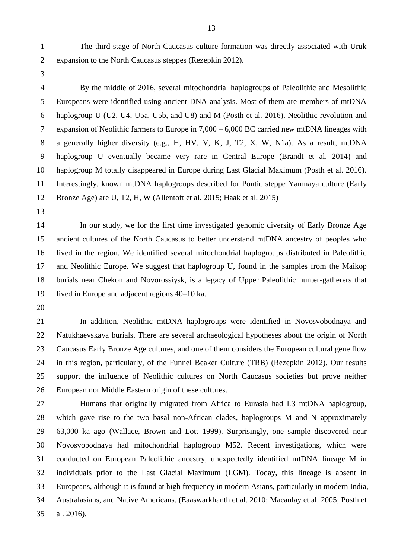The third stage of North Caucasus culture formation was directly associated with Uruk expansion to the North Caucasus steppes [\(Rezepkin 2012\)](#page-19-0).

 By the middle of 2016, several mitochondrial haplogroups of Paleolithic and Mesolithic Europeans were identified using ancient DNA analysis. Most of them are members of mtDNA haplogroup U (U2, U4, U5a, U5b, and U8) and M (Posth et al. 2016). Neolithic revolution and expansion of Neolithic farmers to Europe in 7,000 – 6,000 BC carried new mtDNA lineages with a generally higher diversity (e.g., H, HV, V, K, J, T2, X, W, N1a). As a result, mtDNA haplogroup U eventually became very rare in Central Europe [\(Brandt et al. 2014\)](#page-14-7) and haplogroup M totally disappeared in Europe during Last Glacial Maximum (Posth et al. 2016). Interestingly, known mtDNA haplogroups described for Pontic steppe Yamnaya culture (Early Bronze Age) are U, T2, H, W (Allentoft et al. 2015; Haak et al. 2015)

 In our study, we for the first time investigated genomic diversity of Early Bronze Age ancient cultures of the North Caucasus to better understand mtDNA ancestry of peoples who lived in the region. We identified several mitochondrial haplogroups distributed in Paleolithic and Neolithic Europe. We suggest that haplogroup U, found in the samples from the Maikop burials near Chekon and Novorossiysk, is a legacy of Upper Paleolithic hunter-gatherers that lived in Europe and adjacent regions 40–10 ka.

 In addition, Neolithic mtDNA haplogroups were identified in Novosvobodnaya and Natukhaevskaya burials. There are several archaeological hypotheses about the origin of North Caucasus Early Bronze Age cultures, and one of them considers the European cultural gene flow in this region, particularly, of the Funnel Beaker Culture (TRB) [\(Rezepkin 2012\)](#page-19-0). Our results support the influence of Neolithic cultures on North Caucasus societies but prove neither European nor Middle Eastern origin of these cultures.

 Humans that originally migrated from Africa to Eurasia had L3 mtDNA haplogroup, which gave rise to the two basal non-African clades, haplogroups M and N approximately 63,000 ka ago [\(Wallace, Brown and Lott 1999\)](#page-20-6). Surprisingly, one sample discovered near Novosvobodnaya had mitochondrial haplogroup M52. Recent investigations, which were conducted on European Paleolithic ancestry, unexpectedly identified mtDNA lineage M in individuals prior to the Last Glacial Maximum (LGM). Today, this lineage is absent in Europeans, although it is found at high frequency in modern Asians, particularly in modern India, Australasians, and Native Americans. [\(Eaaswarkhanth et al. 2010;](#page-15-4) [Macaulay et al. 2005;](#page-17-3) Posth et al. 2016).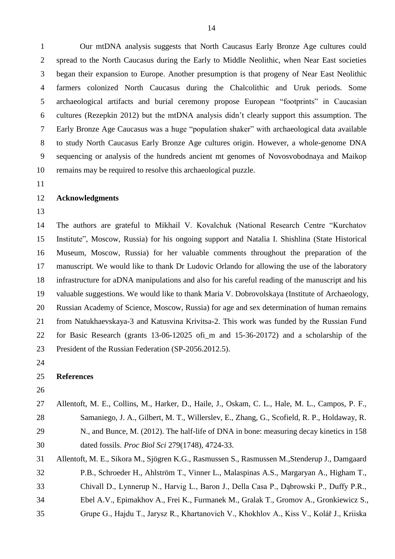Our mtDNA analysis suggests that North Caucasus Early Bronze Age cultures could spread to the North Caucasus during the Early to Middle Neolithic, when Near East societies began their expansion to Europe. Another presumption is that progeny of Near East Neolithic farmers colonized North Caucasus during the Chalcolithic and Uruk periods. Some archaeological artifacts and burial ceremony propose European "footprints" in Caucasian cultures [\(Rezepkin 2012\)](#page-19-0) but the mtDNA analysis didn't clearly support this assumption. The Early Bronze Age Caucasus was a huge "population shaker" with archaeological data available to study North Caucasus Early Bronze Age cultures origin. However, a whole-genome DNA sequencing or analysis of the hundreds ancient mt genomes of Novosvobodnaya and Maikop remains may be required to resolve this archaeological puzzle.

### **Acknowledgments**

 The authors are grateful to Mikhail V. Kovalchuk (National Research Centre "Kurchatov Institute", Moscow, Russia) for his ongoing support and Natalia I. Shishlina (State Historical Museum, Moscow, Russia) for her valuable comments throughout the preparation of the manuscript. We would like to thank Dr Ludovic Orlando for allowing the use of the laboratory infrastructure for aDNA manipulations and also for his careful reading of the manuscript and his valuable suggestions. We would like to thank Maria V. Dobrovolskaya (Institute of Archaeology, Russian Academy of Science, Moscow, Russia) for age and sex determination of human remains from Natukhaevskaya-3 and Katusvina Krivitsa-2. This work was funded by the Russian Fund for Basic Research (grants 13-06-12025 ofi\_m and 15-36-20172) and a scholarship of the President of the Russian Federation (SP-2056.2012.5).

## **References**

- 
- <span id="page-13-0"></span> Allentoft, M. E., Collins, M., Harker, D., Haile, J., Oskam, C. L., Hale, M. L., Campos, P. F., Samaniego, J. A., Gilbert, M. T., Willerslev, E., Zhang, G., Scofield, R. P., Holdaway, R. N., and Bunce, M. (2012). The half-life of DNA in bone: measuring decay kinetics in 158 dated fossils. *Proc Biol Sci* 279(1748), 4724-33.
- Allentoft, M. E., Sikora M., Sjögren K.G., Rasmussen S., Rasmussen M.,Stenderup J., Damgaard P.B., Schroeder H., Ahlström T., Vinner L., Malaspinas A.S., Margaryan A., Higham T., Chivall D., Lynnerup N., Harvig L., Baron J., Della Casa P., Dąbrowski P., Duffy P.R., Ebel A.V., Epimakhov A., Frei K., Furmanek M., Gralak T., Gromov A., Gronkiewicz S.,
- 
- Grupe G., Hajdu T., Jarysz R., Khartanovich V., Khokhlov A., Kiss V., Kolář J., Kriiska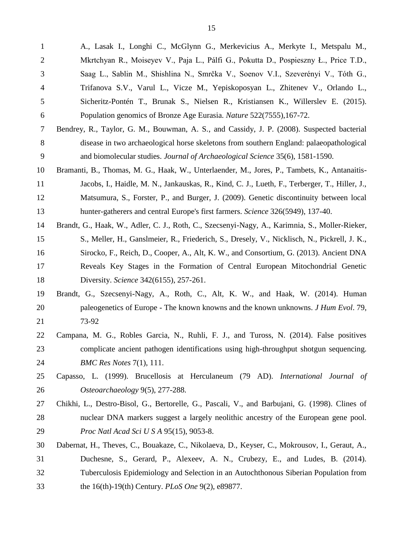<span id="page-14-7"></span><span id="page-14-6"></span><span id="page-14-5"></span><span id="page-14-4"></span><span id="page-14-3"></span><span id="page-14-2"></span><span id="page-14-1"></span><span id="page-14-0"></span>

| $\mathbf{1}$   | A., Lasak I., Longhi C., McGlynn G., Merkevicius A., Merkyte I., Metspalu M.,                  |
|----------------|------------------------------------------------------------------------------------------------|
| $\overline{2}$ | Mkrtchyan R., Moiseyev V., Paja L., Pálfi G., Pokutta D., Pospieszny Ł., Price T.D.,           |
| 3              | Saag L., Sablin M., Shishlina N., Smrčka V., Soenov V.I., Szeverényi V., Tóth G.,              |
| 4              | Trifanova S.V., Varul L., Vicze M., Yepiskoposyan L., Zhitenev V., Orlando L.,                 |
| 5              | Sicheritz-Pontén T., Brunak S., Nielsen R., Kristiansen K., Willerslev E. (2015).              |
| 6              | Population genomics of Bronze Age Eurasia. Nature 522(7555), 167-72.                           |
| 7              | Bendrey, R., Taylor, G. M., Bouwman, A. S., and Cassidy, J. P. (2008). Suspected bacterial     |
| 8              | disease in two archaeological horse skeletons from southern England: palaeopathological        |
| 9              | and biomolecular studies. Journal of Archaeological Science 35(6), 1581-1590.                  |
| 10             | Bramanti, B., Thomas, M. G., Haak, W., Unterlaender, M., Jores, P., Tambets, K., Antanaitis-   |
| 11             | Jacobs, I., Haidle, M. N., Jankauskas, R., Kind, C. J., Lueth, F., Terberger, T., Hiller, J.,  |
| 12             | Matsumura, S., Forster, P., and Burger, J. (2009). Genetic discontinuity between local         |
| 13             | hunter-gatherers and central Europe's first farmers. Science 326(5949), 137-40.                |
| 14             | Brandt, G., Haak, W., Adler, C. J., Roth, C., Szecsenyi-Nagy, A., Karimnia, S., Moller-Rieker, |
| 15             | S., Meller, H., Ganslmeier, R., Friederich, S., Dresely, V., Nicklisch, N., Pickrell, J. K.,   |
| 16             | Sirocko, F., Reich, D., Cooper, A., Alt, K. W., and Consortium, G. (2013). Ancient DNA         |
| 17             | Reveals Key Stages in the Formation of Central European Mitochondrial Genetic                  |
| 18             | Diversity. Science 342(6155), 257-261.                                                         |
| 19             | Brandt, G., Szecsenyi-Nagy, A., Roth, C., Alt, K. W., and Haak, W. (2014). Human               |
| 20             | paleogenetics of Europe - The known knowns and the known unknowns. <i>J Hum Evol.</i> 79,      |
| 21             | 73-92                                                                                          |
| 22             | Campana, M. G., Robles Garcia, N., Ruhli, F. J., and Tuross, N. (2014). False positives        |
| 23             | complicate ancient pathogen identifications using high-throughput shotgun sequencing.          |
| 24             | <b>BMC</b> Res Notes 7(1), 111.                                                                |
| 25             | Capasso, L. (1999). Brucellosis at Herculaneum (79 AD). International Journal of               |
| 26             | Osteoarchaeology 9(5), 277-288.                                                                |
| 27             | Chikhi, L., Destro-Bisol, G., Bertorelle, G., Pascali, V., and Barbujani, G. (1998). Clines of |
| 28             | nuclear DNA markers suggest a largely neolithic ancestry of the European gene pool.            |
| 29             | Proc Natl Acad Sci U S A 95(15), 9053-8.                                                       |
| 30             | Dabernat, H., Theves, C., Bouakaze, C., Nikolaeva, D., Keyser, C., Mokrousov, I., Geraut, A.,  |
| 31             | Duchesne, S., Gerard, P., Alexeev, A. N., Crubezy, E., and Ludes, B. (2014).                   |
| 32             | Tuberculosis Epidemiology and Selection in an Autochthonous Siberian Population from           |
| 33             | the 16(th)-19(th) Century. <i>PLoS One</i> 9(2), e89877.                                       |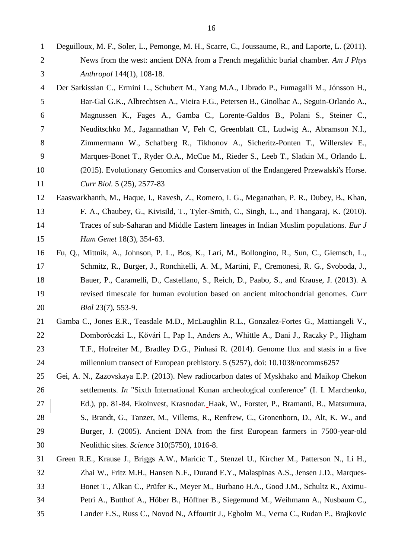- <span id="page-15-4"></span><span id="page-15-3"></span><span id="page-15-1"></span> Deguilloux, M. F., Soler, L., Pemonge, M. H., Scarre, C., Joussaume, R., and Laporte, L. (2011). News from the west: ancient DNA from a French megalithic burial chamber. *Am J Phys Anthropol* 144(1), 108-18. Der Sarkissian C., Ermini L., Schubert M., Yang M.A., Librado P., Fumagalli M., Jónsson H., Bar-Gal G.K., Albrechtsen A., Vieira F.G., Petersen B., Ginolhac A., Seguin-Orlando A., Magnussen K., Fages A., Gamba C., Lorente-Galdos B., Polani S., Steiner C., Neuditschko M., Jagannathan V, Feh C, Greenblatt CL, Ludwig A., Abramson N.I., Zimmermann W., Schafberg R., Tikhonov A., Sicheritz-Ponten T., Willerslev E., Marques-Bonet T., Ryder O.A., McCue M., Rieder S., Leeb T., Slatkin M., Orlando L. (2015). Evolutionary Genomics and Conservation of the Endangered Przewalski's Horse. *Curr Biol.* 5 (25), 2577-83 Eaaswarkhanth, M., Haque, I., Ravesh, Z., Romero, I. G., Meganathan, P. R., Dubey, B., Khan, F. A., Chaubey, G., Kivisild, T., Tyler-Smith, C., Singh, L., and Thangaraj, K. (2010). Traces of sub-Saharan and Middle Eastern lineages in Indian Muslim populations. *Eur J Hum Genet* 18(3), 354-63. Fu, Q., Mittnik, A., Johnson, P. L., Bos, K., Lari, M., Bollongino, R., Sun, C., Giemsch, L., Schmitz, R., Burger, J., Ronchitelli, A. M., Martini, F., Cremonesi, R. G., Svoboda, J., Bauer, P., Caramelli, D., Castellano, S., Reich, D., Paabo, S., and Krause, J. (2013). A revised timescale for human evolution based on ancient mitochondrial genomes. *Curr Biol* 23(7), 553-9. Gamba C., Jones E.R., Teasdale M.D., McLaughlin R.L., Gonzalez-Fortes G., Mattiangeli V., Domboróczki L., Kővári I., Pap I., Anders A., Whittle A., Dani J., Raczky P., Higham T.F., Hofreiter M., Bradley D.G., Pinhasi R. (2014). Genome flux and stasis in a five millennium transect of European prehistory. 5 (5257), doi: 10.1038/ncomms6257 Gei, A. N., Zazovskaya E.P. (2013). New radiocarbon dates of Myskhako and Maikop Chekon settlements. *In* "Sixth International Kunan archeological conference" (I. I. Marchenko, Ed.), pp. 81-84. Ekoinvest, Krasnodar. Haak, W., Forster, P., Bramanti, B., Matsumura, S., Brandt, G., Tanzer, M., Villems, R., Renfrew, C., Gronenborn, D., Alt, K. W., and Burger, J. (2005). Ancient DNA from the first European farmers in 7500-year-old Neolithic sites. *Science* 310(5750), 1016-8. Green R.E., Krause J., Briggs A.W., Maricic T., Stenzel U., Kircher M., Patterson N., Li H., Zhai W., Fritz M.H., Hansen N.F., Durand E.Y., Malaspinas A.S., Jensen J.D., Marques- Bonet T., Alkan C., Prüfer K., Meyer M., Burbano H.A., Good J.M., Schultz R., Aximu-Petri A., Butthof A., Höber B., Höffner B., Siegemund M., Weihmann A., Nusbaum C.,
- <span id="page-15-2"></span><span id="page-15-0"></span>Lander E.S., Russ C., Novod N., Affourtit J., Egholm M., Verna C., Rudan P., Brajkovic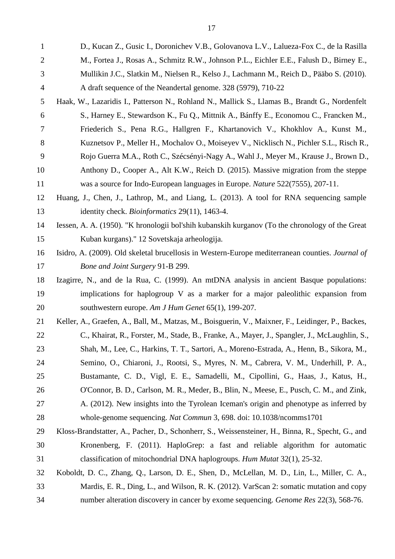<span id="page-16-5"></span><span id="page-16-4"></span><span id="page-16-3"></span><span id="page-16-2"></span><span id="page-16-1"></span><span id="page-16-0"></span>

| 1              | D., Kucan Z., Gusic I., Doronichev V.B., Golovanova L.V., Lalueza-Fox C., de la Rasilla            |
|----------------|----------------------------------------------------------------------------------------------------|
| $\overline{2}$ | M., Fortea J., Rosas A., Schmitz R.W., Johnson P.L., Eichler E.E., Falush D., Birney E.,           |
| 3              | Mullikin J.C., Slatkin M., Nielsen R., Kelso J., Lachmann M., Reich D., Pääbo S. (2010).           |
| $\overline{4}$ | A draft sequence of the Neandertal genome. 328 (5979), 710-22                                      |
| 5              | Haak, W., Lazaridis I., Patterson N., Rohland N., Mallick S., Llamas B., Brandt G., Nordenfelt     |
| 6              | S., Harney E., Stewardson K., Fu Q., Mittnik A., Bánffy E., Economou C., Francken M.,              |
| 7              | Friederich S., Pena R.G., Hallgren F., Khartanovich V., Khokhlov A., Kunst M.,                     |
| 8              | Kuznetsov P., Meller H., Mochalov O., Moiseyev V., Nicklisch N., Pichler S.L., Risch R.,           |
| 9              | Rojo Guerra M.A., Roth C., Szécsényi-Nagy A., Wahl J., Meyer M., Krause J., Brown D.,              |
| 10             | Anthony D., Cooper A., Alt K.W., Reich D. (2015). Massive migration from the steppe                |
| 11             | was a source for Indo-European languages in Europe. Nature 522(7555), 207-11.                      |
| 12             | Huang, J., Chen, J., Lathrop, M., and Liang, L. (2013). A tool for RNA sequencing sample           |
| 13             | identity check. <i>Bioinformatics</i> 29(11), 1463-4.                                              |
| 14             | Iessen, A. A. (1950). "K hronologii bol'shih kubanskih kurganov (To the chronology of the Great    |
| 15             | Kuban kurgans)." 12 Sovetskaja arheologija.                                                        |
| 16             | Isidro, A. (2009). Old skeletal brucellosis in Western-Europe mediterranean counties. Journal of   |
| 17             | Bone and Joint Surgery 91-B 299.                                                                   |
| 18             | Izagirre, N., and de la Rua, C. (1999). An mtDNA analysis in ancient Basque populations:           |
| 19             | implications for haplogroup V as a marker for a major paleolithic expansion from                   |
| 20             | southwestern europe. Am J Hum Genet 65(1), 199-207.                                                |
| 21             | Keller, A., Graefen, A., Ball, M., Matzas, M., Boisguerin, V., Maixner, F., Leidinger, P., Backes, |
| 22             | C., Khairat, R., Forster, M., Stade, B., Franke, A., Mayer, J., Spangler, J., McLaughlin, S.,      |
| 23             | Shah, M., Lee, C., Harkins, T. T., Sartori, A., Moreno-Estrada, A., Henn, B., Sikora, M.,          |
| 24             | Semino, O., Chiaroni, J., Rootsi, S., Myres, N. M., Cabrera, V. M., Underhill, P. A.,              |
| 25             | Bustamante, C. D., Vigl, E. E., Samadelli, M., Cipollini, G., Haas, J., Katus, H.,                 |
| 26             | O'Connor, B. D., Carlson, M. R., Meder, B., Blin, N., Meese, E., Pusch, C. M., and Zink,           |
| 27             | A. (2012). New insights into the Tyrolean Iceman's origin and phenotype as inferred by             |
| 28             | whole-genome sequencing. Nat Commun 3, 698. doi: 10.1038/ncomms1701                                |
| 29             | Kloss-Brandstatter, A., Pacher, D., Schonherr, S., Weissensteiner, H., Binna, R., Specht, G., and  |
| 30             | Kronenberg, F. (2011). HaploGrep: a fast and reliable algorithm for automatic                      |
| 31             | classification of mitochondrial DNA haplogroups. Hum Mutat 32(1), 25-32.                           |
| 32             | Koboldt, D. C., Zhang, Q., Larson, D. E., Shen, D., McLellan, M. D., Lin, L., Miller, C. A.,       |
| 33             | Mardis, E. R., Ding, L., and Wilson, R. K. (2012). VarScan 2: somatic mutation and copy            |
| 34             | number alteration discovery in cancer by exome sequencing. <i>Genome Res</i> 22(3), 568-76.        |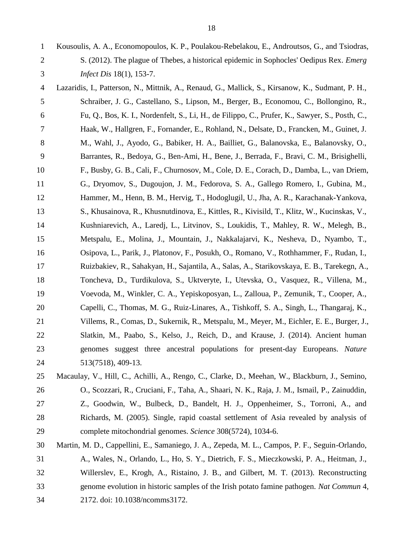<span id="page-17-2"></span> Kousoulis, A. A., Economopoulos, K. P., Poulakou-Rebelakou, E., Androutsos, G., and Tsiodras, S. (2012). The plague of Thebes, a historical epidemic in Sophocles' Oedipus Rex. *Emerg Infect Dis* 18(1), 153-7.

- <span id="page-17-0"></span> Lazaridis, I., Patterson, N., Mittnik, A., Renaud, G., Mallick, S., Kirsanow, K., Sudmant, P. H., Schraiber, J. G., Castellano, S., Lipson, M., Berger, B., Economou, C., Bollongino, R., Fu, Q., Bos, K. I., Nordenfelt, S., Li, H., de Filippo, C., Prufer, K., Sawyer, S., Posth, C., Haak, W., Hallgren, F., Fornander, E., Rohland, N., Delsate, D., Francken, M., Guinet, J. M., Wahl, J., Ayodo, G., Babiker, H. A., Bailliet, G., Balanovska, E., Balanovsky, O., Barrantes, R., Bedoya, G., Ben-Ami, H., Bene, J., Berrada, F., Bravi, C. M., Brisighelli, F., Busby, G. B., Cali, F., Churnosov, M., Cole, D. E., Corach, D., Damba, L., van Driem, G., Dryomov, S., Dugoujon, J. M., Fedorova, S. A., Gallego Romero, I., Gubina, M., Hammer, M., Henn, B. M., Hervig, T., Hodoglugil, U., Jha, A. R., Karachanak-Yankova, S., Khusainova, R., Khusnutdinova, E., Kittles, R., Kivisild, T., Klitz, W., Kucinskas, V., Kushniarevich, A., Laredj, L., Litvinov, S., Loukidis, T., Mahley, R. W., Melegh, B., Metspalu, E., Molina, J., Mountain, J., Nakkalajarvi, K., Nesheva, D., Nyambo, T., Osipova, L., Parik, J., Platonov, F., Posukh, O., Romano, V., Rothhammer, F., Rudan, I., Ruizbakiev, R., Sahakyan, H., Sajantila, A., Salas, A., Starikovskaya, E. B., Tarekegn, A., Toncheva, D., Turdikulova, S., Uktveryte, I., Utevska, O., Vasquez, R., Villena, M., Voevoda, M., Winkler, C. A., Yepiskoposyan, L., Zalloua, P., Zemunik, T., Cooper, A., Capelli, C., Thomas, M. G., Ruiz-Linares, A., Tishkoff, S. A., Singh, L., Thangaraj, K., Villems, R., Comas, D., Sukernik, R., Metspalu, M., Meyer, M., Eichler, E. E., Burger, J., Slatkin, M., Paabo, S., Kelso, J., Reich, D., and Krause, J. (2014). Ancient human genomes suggest three ancestral populations for present-day Europeans. *Nature* 513(7518), 409-13.
- <span id="page-17-3"></span> Macaulay, V., Hill, C., Achilli, A., Rengo, C., Clarke, D., Meehan, W., Blackburn, J., Semino, O., Scozzari, R., Cruciani, F., Taha, A., Shaari, N. K., Raja, J. M., Ismail, P., Zainuddin, Z., Goodwin, W., Bulbeck, D., Bandelt, H. J., Oppenheimer, S., Torroni, A., and Richards, M. (2005). Single, rapid coastal settlement of Asia revealed by analysis of complete mitochondrial genomes. *Science* 308(5724), 1034-6.
- <span id="page-17-1"></span> Martin, M. D., Cappellini, E., Samaniego, J. A., Zepeda, M. L., Campos, P. F., Seguin-Orlando, A., Wales, N., Orlando, L., Ho, S. Y., Dietrich, F. S., Mieczkowski, P. A., Heitman, J., Willerslev, E., Krogh, A., Ristaino, J. B., and Gilbert, M. T. (2013). Reconstructing genome evolution in historic samples of the Irish potato famine pathogen. *Nat Commun* 4, 2172. doi: 10.1038/ncomms3172.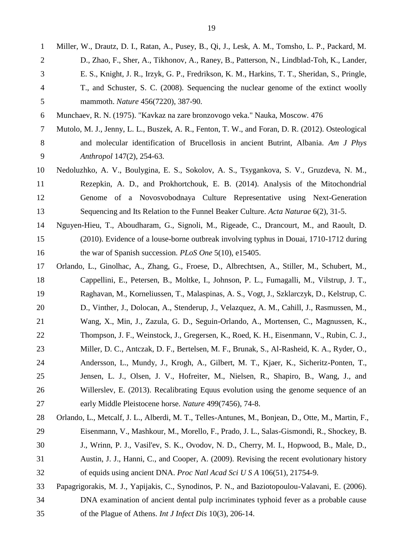<span id="page-18-7"></span><span id="page-18-6"></span><span id="page-18-5"></span><span id="page-18-4"></span><span id="page-18-3"></span><span id="page-18-2"></span><span id="page-18-1"></span><span id="page-18-0"></span>

| $\mathbf{1}$   | Miller, W., Drautz, D. I., Ratan, A., Pusey, B., Qi, J., Lesk, A. M., Tomsho, L. P., Packard, M.    |
|----------------|-----------------------------------------------------------------------------------------------------|
| $\overline{2}$ | D., Zhao, F., Sher, A., Tikhonov, A., Raney, B., Patterson, N., Lindblad-Toh, K., Lander,           |
| 3              | E. S., Knight, J. R., Irzyk, G. P., Fredrikson, K. M., Harkins, T. T., Sheridan, S., Pringle,       |
| 4              | T., and Schuster, S. C. (2008). Sequencing the nuclear genome of the extinct woolly                 |
| 5              | mammoth. <i>Nature</i> 456(7220), 387-90.                                                           |
| 6              | Munchaev, R. N. (1975). "Kavkaz na zare bronzovogo veka." Nauka, Moscow. 476                        |
| 7              | Mutolo, M. J., Jenny, L. L., Buszek, A. R., Fenton, T. W., and Foran, D. R. (2012). Osteological    |
| 8              | and molecular identification of Brucellosis in ancient Butrint, Albania. Am J Phys                  |
| 9              | Anthropol 147(2), 254-63.                                                                           |
| 10             | Nedoluzhko, A. V., Boulygina, E. S., Sokolov, A. S., Tsygankova, S. V., Gruzdeva, N. M.,            |
| 11             | Rezepkin, A. D., and Prokhortchouk, E. B. (2014). Analysis of the Mitochondrial                     |
| 12             | Genome of a Novosvobodnaya Culture Representative using Next-Generation                             |
| 13             | Sequencing and Its Relation to the Funnel Beaker Culture. Acta Naturae 6(2), 31-5.                  |
| 14             | Nguyen-Hieu, T., Aboudharam, G., Signoli, M., Rigeade, C., Drancourt, M., and Raoult, D.            |
| 15             | (2010). Evidence of a louse-borne outbreak involving typhus in Douai, 1710-1712 during              |
| 16             | the war of Spanish succession. <i>PLoS One</i> 5(10), e15405.                                       |
| 17             | Orlando, L., Ginolhac, A., Zhang, G., Froese, D., Albrechtsen, A., Stiller, M., Schubert, M.,       |
| 18             | Cappellini, E., Petersen, B., Moltke, I., Johnson, P. L., Fumagalli, M., Vilstrup, J. T.,           |
| 19             | Raghavan, M., Korneliussen, T., Malaspinas, A. S., Vogt, J., Szklarczyk, D., Kelstrup, C.           |
| 20             | D., Vinther, J., Dolocan, A., Stenderup, J., Velazquez, A. M., Cahill, J., Rasmussen, M.,           |
| 21             | Wang, X., Min, J., Zazula, G. D., Seguin-Orlando, A., Mortensen, C., Magnussen, K.,                 |
| 22             | Thompson, J. F., Weinstock, J., Gregersen, K., Roed, K. H., Eisenmann, V., Rubin, C. J.,            |
| 23             | Miller, D. C., Antczak, D. F., Bertelsen, M. F., Brunak, S., Al-Rasheid, K. A., Ryder, O.,          |
| 24             | Andersson, L., Mundy, J., Krogh, A., Gilbert, M. T., Kjaer, K., Sicheritz-Ponten, T.,               |
| 25             | Jensen, L. J., Olsen, J. V., Hofreiter, M., Nielsen, R., Shapiro, B., Wang, J., and                 |
| 26             | Willerslev, E. (2013). Recalibrating Equus evolution using the genome sequence of an                |
| 27             | early Middle Pleistocene horse. Nature 499(7456), 74-8.                                             |
| 28             | Orlando, L., Metcalf, J. L., Alberdi, M. T., Telles-Antunes, M., Bonjean, D., Otte, M., Martin, F., |
| 29             | Eisenmann, V., Mashkour, M., Morello, F., Prado, J. L., Salas-Gismondi, R., Shockey, B.             |
| 30             | J., Wrinn, P. J., Vasil'ev, S. K., Ovodov, N. D., Cherry, M. I., Hopwood, B., Male, D.,             |
| 31             | Austin, J. J., Hanni, C., and Cooper, A. (2009). Revising the recent evolutionary history           |
| 32             | of equids using ancient DNA. Proc Natl Acad Sci U S A 106(51), 21754-9.                             |
| 33             | Papagrigorakis, M. J., Yapijakis, C., Synodinos, P. N., and Baziotopoulou-Valavani, E. (2006).      |
| 34             | DNA examination of ancient dental pulp incriminates typhoid fever as a probable cause               |
| 35             | of the Plague of Athens. <i>Int J Infect Dis</i> 10(3), 206-14.                                     |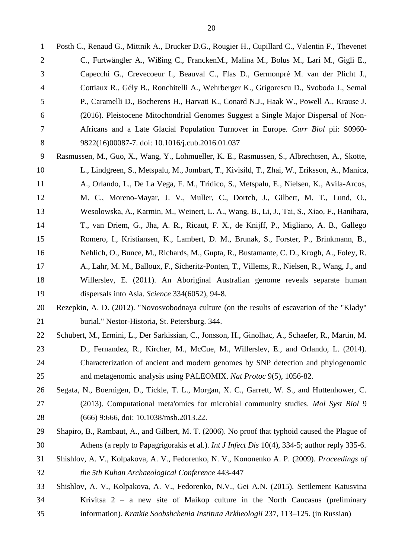<span id="page-19-6"></span><span id="page-19-5"></span><span id="page-19-4"></span><span id="page-19-3"></span><span id="page-19-2"></span><span id="page-19-1"></span><span id="page-19-0"></span> Posth C., Renaud G., Mittnik A., Drucker D.G., Rougier H., Cupillard C., Valentin F., Thevenet C., Furtwängler A., Wißing C., FranckenM., Malina M., Bolus M., Lari M., Gigli E., Capecchi G., Crevecoeur I., Beauval C., Flas D., Germonpré M. van der Plicht J., Cottiaux R., Gély B., Ronchitelli A., Wehrberger K., Grigorescu D., Svoboda J., Semal P., Caramelli D., Bocherens H., Harvati K., Conard N.J., Haak W., Powell A., Krause J. (2016). Pleistocene Mitochondrial Genomes Suggest a Single Major Dispersal of Non- Africans and a Late Glacial Population Turnover in Europe. *Curr Biol* pii: S0960- 9822(16)00087-7. doi: 10.1016/j.cub.2016.01.037 Rasmussen, M., Guo, X., Wang, Y., Lohmueller, K. E., Rasmussen, S., Albrechtsen, A., Skotte, L., Lindgreen, S., Metspalu, M., Jombart, T., Kivisild, T., Zhai, W., Eriksson, A., Manica, A., Orlando, L., De La Vega, F. M., Tridico, S., Metspalu, E., Nielsen, K., Avila-Arcos, M. C., Moreno-Mayar, J. V., Muller, C., Dortch, J., Gilbert, M. T., Lund, O., Wesolowska, A., Karmin, M., Weinert, L. A., Wang, B., Li, J., Tai, S., Xiao, F., Hanihara, T., van Driem, G., Jha, A. R., Ricaut, F. X., de Knijff, P., Migliano, A. B., Gallego Romero, I., Kristiansen, K., Lambert, D. M., Brunak, S., Forster, P., Brinkmann, B., Nehlich, O., Bunce, M., Richards, M., Gupta, R., Bustamante, C. D., Krogh, A., Foley, R. A., Lahr, M. M., Balloux, F., Sicheritz-Ponten, T., Villems, R., Nielsen, R., Wang, J., and Willerslev, E. (2011). An Aboriginal Australian genome reveals separate human dispersals into Asia. *Science* 334(6052), 94-8. Rezepkin, A. D. (2012). "Novosvobodnaya culture (on the results of escavation of the "Klady" burial." Nestor-Historia, St. Petersburg. 344. Schubert, M., Ermini, L., Der Sarkissian, C., Jonsson, H., Ginolhac, A., Schaefer, R., Martin, M. D., Fernandez, R., Kircher, M., McCue, M., Willerslev, E., and Orlando, L. (2014). Characterization of ancient and modern genomes by SNP detection and phylogenomic and metagenomic analysis using PALEOMIX. *Nat Protoc* 9(5), 1056-82. Segata, N., Boernigen, D., Tickle, T. L., Morgan, X. C., Garrett, W. S., and Huttenhower, C. (2013). Computational meta'omics for microbial community studies. *Mol Syst Biol* 9 (666) 9:666, doi: 10.1038/msb.2013.22. Shapiro, B., Rambaut, A., and Gilbert, M. T. (2006). No proof that typhoid caused the Plague of Athens (a reply to Papagrigorakis et al.). *Int J Infect Dis* 10(4), 334-5; author reply 335-6. Shishlov, A. V., Kolpakova, A. V., Fedorenko, N. V., Kononenko A. P. (2009). *Proceedings of the 5th Kuban Archaeological Conference* 443-447 Shishlov, A. V., Kolpakova, A. V., Fedorenko, N.V., Gei A.N. (2015). Settlement Katusvina Krivitsa 2 – a new site of Maikop culture in the North Caucasus (preliminary information)*. Kratkie Soobshchenia Instituta Arkheologii* 237, 113–125. (in Russian)